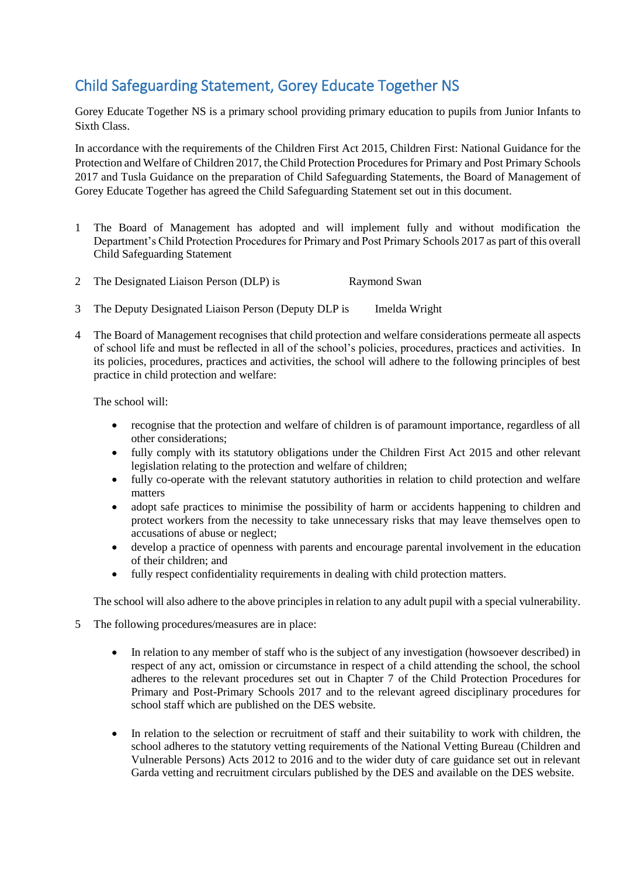## Child Safeguarding Statement, Gorey Educate Together NS

Gorey Educate Together NS is a primary school providing primary education to pupils from Junior Infants to Sixth Class.

In accordance with the requirements of the Children First Act 2015, Children First: National Guidance for the Protection and Welfare of Children 2017, the Child Protection Procedures for Primary and Post Primary Schools 2017 and Tusla Guidance on the preparation of Child Safeguarding Statements, the Board of Management of Gorey Educate Together has agreed the Child Safeguarding Statement set out in this document.

- 1 The Board of Management has adopted and will implement fully and without modification the Department's Child Protection Procedures for Primary and Post Primary Schools 2017 as part of this overall Child Safeguarding Statement
- 2 The Designated Liaison Person (DLP) is Raymond Swan
- 3 The Deputy Designated Liaison Person (Deputy DLP is Imelda Wright
- 4 The Board of Management recognises that child protection and welfare considerations permeate all aspects of school life and must be reflected in all of the school's policies, procedures, practices and activities. In its policies, procedures, practices and activities, the school will adhere to the following principles of best practice in child protection and welfare:

The school will:

- recognise that the protection and welfare of children is of paramount importance, regardless of all other considerations;
- fully comply with its statutory obligations under the Children First Act 2015 and other relevant legislation relating to the protection and welfare of children;
- fully co-operate with the relevant statutory authorities in relation to child protection and welfare matters
- adopt safe practices to minimise the possibility of harm or accidents happening to children and protect workers from the necessity to take unnecessary risks that may leave themselves open to accusations of abuse or neglect;
- develop a practice of openness with parents and encourage parental involvement in the education of their children; and
- fully respect confidentiality requirements in dealing with child protection matters.

The school will also adhere to the above principles in relation to any adult pupil with a special vulnerability.

- 5 The following procedures/measures are in place:
	- In relation to any member of staff who is the subject of any investigation (howsoever described) in respect of any act, omission or circumstance in respect of a child attending the school, the school adheres to the relevant procedures set out in Chapter 7 of the Child Protection Procedures for Primary and Post-Primary Schools 2017 and to the relevant agreed disciplinary procedures for school staff which are published on the DES website.
	- In relation to the selection or recruitment of staff and their suitability to work with children, the school adheres to the statutory vetting requirements of the National Vetting Bureau (Children and Vulnerable Persons) Acts 2012 to 2016 and to the wider duty of care guidance set out in relevant Garda vetting and recruitment circulars published by the DES and available on the DES website.